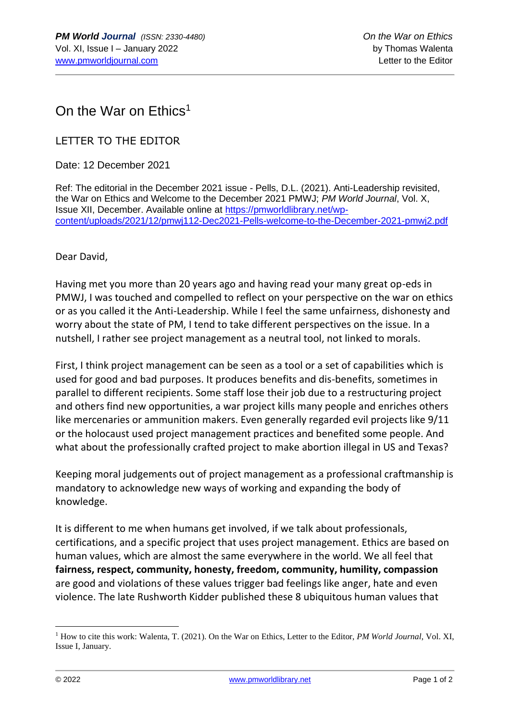## On the War on Ethics<sup>1</sup>

## LETTER TO THE EDITOR

Date: 12 December 2021

Ref: The editorial in the December 2021 issue - Pells, D.L. (2021). Anti-Leadership revisited, the War on Ethics and Welcome to the December 2021 PMWJ; *PM World Journal*, Vol. X, Issue XII, December. Available online at [https://pmworldlibrary.net/wp](https://pmworldlibrary.net/wp-content/uploads/2021/12/pmwj112-Dec2021-Pells-welcome-to-the-December-2021-pmwj2.pdf)[content/uploads/2021/12/pmwj112-Dec2021-Pells-welcome-to-the-December-2021-pmwj2.pdf](https://pmworldlibrary.net/wp-content/uploads/2021/12/pmwj112-Dec2021-Pells-welcome-to-the-December-2021-pmwj2.pdf)

Dear David,

Having met you more than 20 years ago and having read your many great op-eds in PMWJ, I was touched and compelled to reflect on your perspective on the war on ethics or as you called it the Anti-Leadership. While I feel the same unfairness, dishonesty and worry about the state of PM, I tend to take different perspectives on the issue. In a nutshell, I rather see project management as a neutral tool, not linked to morals.

First, I think project management can be seen as a tool or a set of capabilities which is used for good and bad purposes. It produces benefits and dis-benefits, sometimes in parallel to different recipients. Some staff lose their job due to a restructuring project and others find new opportunities, a war project kills many people and enriches others like mercenaries or ammunition makers. Even generally regarded evil projects like 9/11 or the holocaust used project management practices and benefited some people. And what about the professionally crafted project to make abortion illegal in US and Texas?

Keeping moral judgements out of project management as a professional craftmanship is mandatory to acknowledge new ways of working and expanding the body of knowledge.

It is different to me when humans get involved, if we talk about professionals, certifications, and a specific project that uses project management. Ethics are based on human values, which are almost the same everywhere in the world. We all feel that **fairness, respect, community, honesty, freedom, community, humility, compassion** are good and violations of these values trigger bad feelings like anger, hate and even violence. The late Rushworth Kidder published these 8 ubiquitous human values that

<sup>1</sup> How to cite this work: Walenta, T. (2021). On the War on Ethics, Letter to the Editor, *PM World Journal*, Vol. XI, Issue I, January.